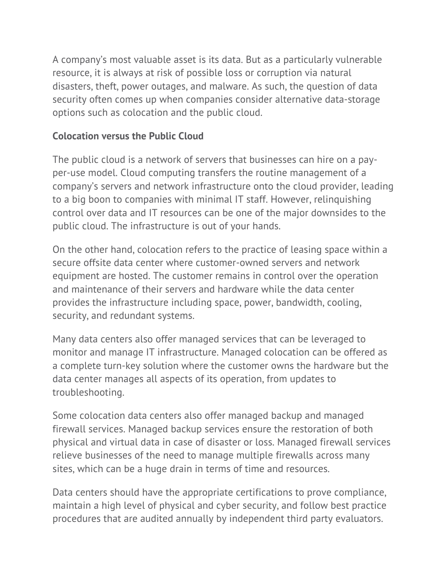A company's most valuable asset is its data. But as a particularly vulnerable resource, it is always at risk of possible loss or corruption via natural disasters, theft, power outages, and malware. As such, the question of data security often comes up when companies consider alternative data-storage options such as colocation and the public cloud.

## **Colocation versus the Public Cloud**

The public cloud is a network of servers that businesses can hire on a payper-use model. Cloud computing transfers the routine management of a company's servers and network infrastructure onto the cloud provider, leading to a big boon to companies with minimal IT staff. However, relinquishing control over data and IT resources can be one of the major downsides to the public cloud. The infrastructure is out of your hands.

On the other hand, colocation refers to the practice of leasing space within a secure offsite data center where customer-owned servers and network equipment are hosted. The customer remains in control over the operation and maintenance of their servers and hardware while the data center provides the infrastructure including space, power, bandwidth, cooling, security, and redundant systems.

Many data centers also offer managed services that can be leveraged to monitor and manage IT infrastructure. Managed colocation can be offered as a complete turn-key solution where the customer owns the hardware but the data center manages all aspects of its operation, from updates to troubleshooting.

Some colocation data centers also offer managed backup and managed firewall services. Managed backup services ensure the restoration of both physical and virtual data in case of disaster or loss. Managed firewall services relieve businesses of the need to manage multiple firewalls across many sites, which can be a huge drain in terms of time and resources.

Data centers should have the appropriate certifications to prove compliance, maintain a high level of physical and cyber security, and follow best practice procedures that are audited annually by independent third party evaluators.